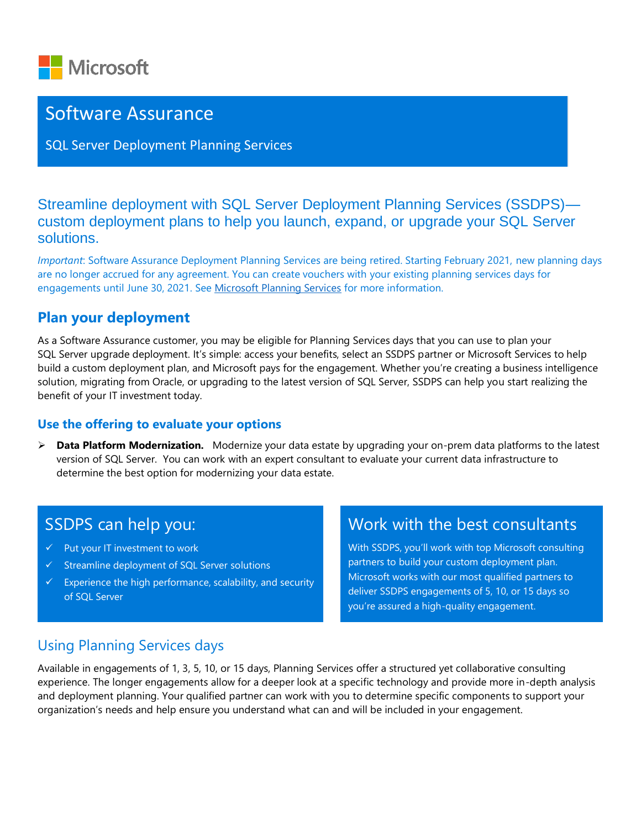

## Software Assurance

SQL Server Deployment Planning Services

Streamline deployment with SQL Server Deployment Planning Services (SSDPS) custom deployment plans to help you launch, expand, or upgrade your SQL Server solutions.

*Important*: Software Assurance Deployment Planning Services are being retired. Starting February 2021, new planning days are no longer accrued for any agreement. You can create vouchers with your existing planning services days for engagements until June 30, 2021. Se[e Microsoft Planning Services](https://www.microsoft.com/en-us/licensing/licensing-programs/software-assurance-by-benefits?activetab=software-assurance-by-benefits-tab%3aprimaryr2) for more information.

### **Plan your deployment**

As a Software Assurance customer, you may be eligible for Planning Services days that you can use to plan your SQL Server upgrade deployment. It's simple: access your benefits, select an SSDPS partner or Microsoft Services to help build a custom deployment plan, and Microsoft pays for the engagement. Whether you're creating a business intelligence solution, migrating from Oracle, or upgrading to the latest version of SQL Server, SSDPS can help you start realizing the benefit of your IT investment today.

#### **Use the offering to evaluate your options**

➢ **Data Platform Modernization.** Modernize your data estate by upgrading your on-prem data platforms to the latest version of SQL Server. You can work with an expert consultant to evaluate your current data infrastructure to determine the best option for modernizing your data estate.

## SSDPS can help you:

- ✓ Put your IT investment to work
- ✓ Streamline deployment of SQL Server solutions
- $\checkmark$  Experience the high performance, scalability, and security of SQL Server

# Work with the best consultants

With SSDPS, you'll work with top Microsoft consulting partners to build your custom deployment plan. Microsoft works with our most qualified partners to deliver SSDPS engagements of 5, 10, or 15 days so you're assured a high-quality engagement.

### Using Planning Services days

Available in engagements of 1, 3, 5, 10, or 15 days, Planning Services offer a structured yet collaborative consulting experience. The longer engagements allow for a deeper look at a specific technology and provide more in-depth analysis and deployment planning. Your qualified partner can work with you to determine specific components to support your organization's needs and help ensure you understand what can and will be included in your engagement.